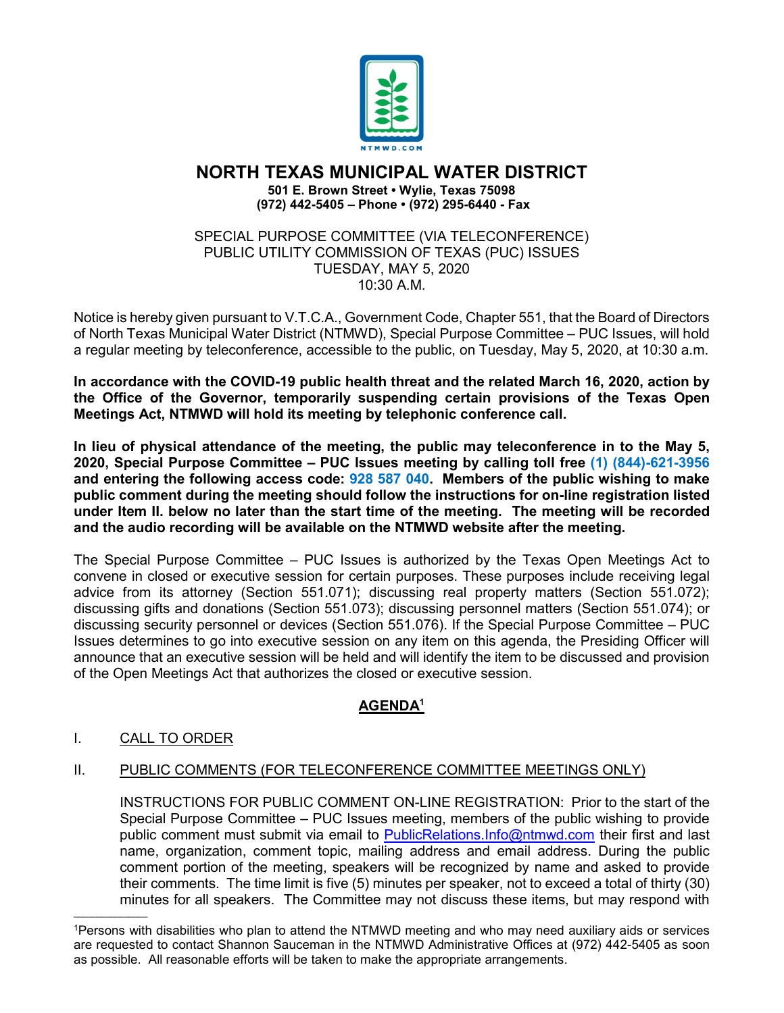

# **NORTH TEXAS MUNICIPAL WATER DISTRICT**

**501 E. Brown Street • Wylie, Texas 75098 (972) 442-5405 – Phone • (972) 295-6440 - Fax**

#### SPECIAL PURPOSE COMMITTEE (VIA TELECONFERENCE) PUBLIC UTILITY COMMISSION OF TEXAS (PUC) ISSUES TUESDAY, MAY 5, 2020 10:30 A.M.

Notice is hereby given pursuant to V.T.C.A., Government Code, Chapter 551, that the Board of Directors of North Texas Municipal Water District (NTMWD), Special Purpose Committee – PUC Issues, will hold a regular meeting by teleconference, accessible to the public, on Tuesday, May 5, 2020, at 10:30 a.m.

**In accordance with the COVID-19 public health threat and the related March 16, 2020, action by the Office of the Governor, temporarily suspending certain provisions of the Texas Open Meetings Act, NTMWD will hold its meeting by telephonic conference call.** 

**In lieu of physical attendance of the meeting, the public may teleconference in to the May 5, 2020, Special Purpose Committee – PUC Issues meeting by calling toll free (1) (844)-621-3956 and entering the following access code: 928 587 040. Members of the public wishing to make public comment during the meeting should follow the instructions for on-line registration listed under Item II. below no later than the start time of the meeting. The meeting will be recorded and the audio recording will be available on the NTMWD website after the meeting.**

The Special Purpose Committee – PUC Issues is authorized by the Texas Open Meetings Act to convene in closed or executive session for certain purposes. These purposes include receiving legal advice from its attorney (Section 551.071); discussing real property matters (Section 551.072); discussing gifts and donations (Section 551.073); discussing personnel matters (Section 551.074); or discussing security personnel or devices (Section 551.076). If the Special Purpose Committee – PUC Issues determines to go into executive session on any item on this agenda, the Presiding Officer will announce that an executive session will be held and will identify the item to be discussed and provision of the Open Meetings Act that authorizes the closed or executive session.

## **AGENDA1**

## I. CALL TO ORDER

 $\overline{\phantom{a}}$  ,  $\overline{\phantom{a}}$  ,  $\overline{\phantom{a}}$  ,  $\overline{\phantom{a}}$  ,  $\overline{\phantom{a}}$  ,  $\overline{\phantom{a}}$  ,  $\overline{\phantom{a}}$  ,  $\overline{\phantom{a}}$  ,  $\overline{\phantom{a}}$  ,  $\overline{\phantom{a}}$  ,  $\overline{\phantom{a}}$  ,  $\overline{\phantom{a}}$  ,  $\overline{\phantom{a}}$  ,  $\overline{\phantom{a}}$  ,  $\overline{\phantom{a}}$  ,  $\overline{\phantom{a}}$ 

### II. PUBLIC COMMENTS (FOR TELECONFERENCE COMMITTEE MEETINGS ONLY)

INSTRUCTIONS FOR PUBLIC COMMENT ON-LINE REGISTRATION: Prior to the start of the Special Purpose Committee – PUC Issues meeting, members of the public wishing to provide public comment must submit via email to [PublicRelations.Info@ntmwd.com](mailto:PublicRelations.Info@ntmwd.com) their first and last name, organization, comment topic, mailing address and email address. During the public comment portion of the meeting, speakers will be recognized by name and asked to provide their comments. The time limit is five (5) minutes per speaker, not to exceed a total of thirty (30) minutes for all speakers. The Committee may not discuss these items, but may respond with

<sup>1</sup>Persons with disabilities who plan to attend the NTMWD meeting and who may need auxiliary aids or services are requested to contact Shannon Sauceman in the NTMWD Administrative Offices at (972) 442-5405 as soon as possible. All reasonable efforts will be taken to make the appropriate arrangements.